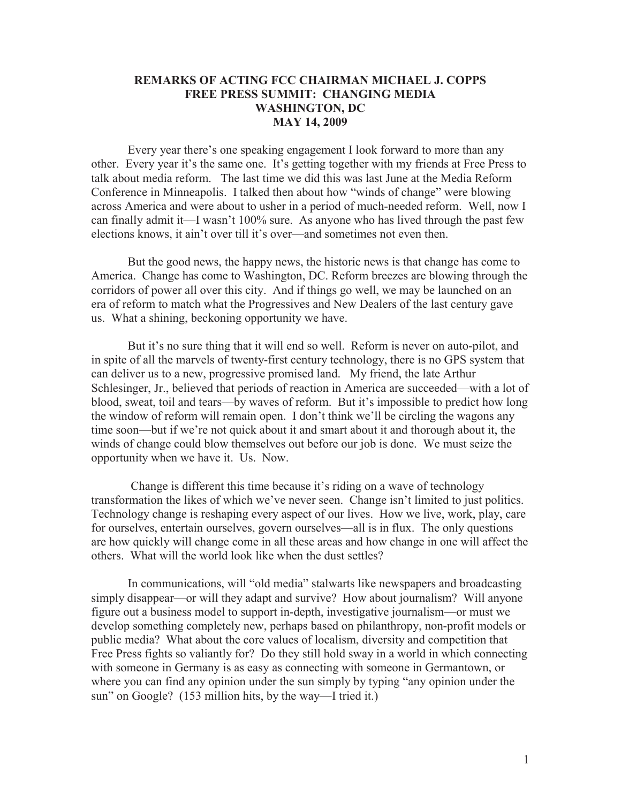## **REMARKS OF ACTING FCC CHAIRMAN MICHAEL J. COPPS FREE PRESS SUMMIT: CHANGING MEDIA WASHINGTON, DC MAY 14, 2009**

Every year there's one speaking engagement I look forward to more than any other. Every year it's the same one. It's getting together with my friends at Free Press to talk about media reform. The last time we did this was last June at the Media Reform Conference in Minneapolis. I talked then about how "winds of change" were blowing across America and were about to usher in a period of much-needed reform. Well, now I can finally admit it—I wasn't 100% sure. As anyone who has lived through the past few elections knows, it ain't over till it's over—and sometimes not even then.

But the good news, the happy news, the historic news is that change has come to America. Change has come to Washington, DC. Reform breezes are blowing through the corridors of power all over this city. And if things go well, we may be launched on an era of reform to match what the Progressives and New Dealers of the last century gave us. What a shining, beckoning opportunity we have.

But it's no sure thing that it will end so well. Reform is never on auto-pilot, and in spite of all the marvels of twenty-first century technology, there is no GPS system that can deliver us to a new, progressive promised land. My friend, the late Arthur Schlesinger, Jr., believed that periods of reaction in America are succeeded—with a lot of blood, sweat, toil and tears—by waves of reform. But it's impossible to predict how long the window of reform will remain open. I don't think we'll be circling the wagons any time soon—but if we're not quick about it and smart about it and thorough about it, the winds of change could blow themselves out before our job is done. We must seize the opportunity when we have it. Us. Now.

Change is different this time because it's riding on a wave of technology transformation the likes of which we've never seen. Change isn't limited to just politics. Technology change is reshaping every aspect of our lives. How we live, work, play, care for ourselves, entertain ourselves, govern ourselves—all is in flux. The only questions are how quickly will change come in all these areas and how change in one will affect the others. What will the world look like when the dust settles?

In communications, will "old media" stalwarts like newspapers and broadcasting simply disappear—or will they adapt and survive? How about journalism? Will anyone figure out a business model to support in-depth, investigative journalism—or must we develop something completely new, perhaps based on philanthropy, non-profit models or public media? What about the core values of localism, diversity and competition that Free Press fights so valiantly for? Do they still hold sway in a world in which connecting with someone in Germany is as easy as connecting with someone in Germantown, or where you can find any opinion under the sun simply by typing "any opinion under the sun" on Google? (153 million hits, by the way—I tried it.)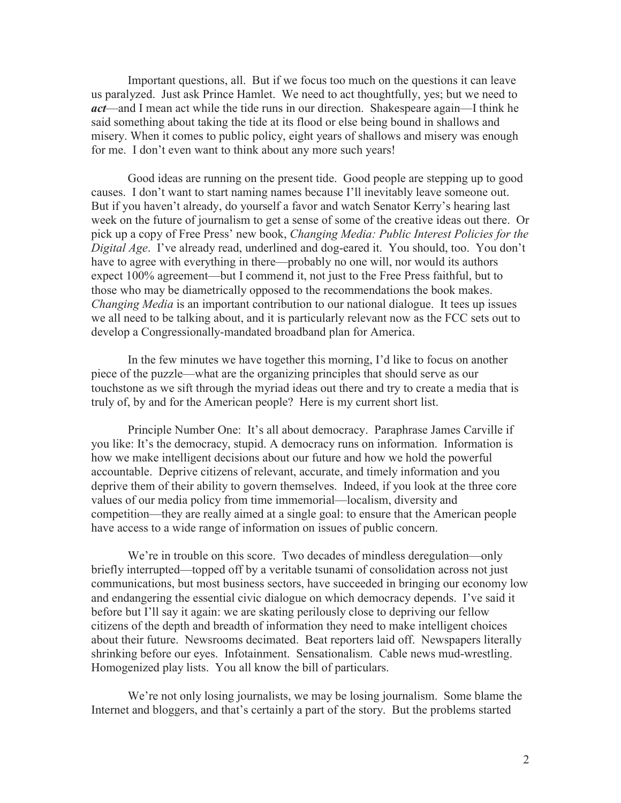Important questions, all. But if we focus too much on the questions it can leave us paralyzed. Just ask Prince Hamlet. We need to act thoughtfully, yes; but we need to *act*—and I mean act while the tide runs in our direction. Shakespeare again—I think he said something about taking the tide at its flood or else being bound in shallows and misery. When it comes to public policy, eight years of shallows and misery was enough for me. I don't even want to think about any more such years!

Good ideas are running on the present tide. Good people are stepping up to good causes. I don't want to start naming names because I'll inevitably leave someone out. But if you haven't already, do yourself a favor and watch Senator Kerry's hearing last week on the future of journalism to get a sense of some of the creative ideas out there. Or pick up a copy of Free Press' new book, *Changing Media: Public Interest Policies for the Digital Age*. I've already read, underlined and dog-eared it. You should, too. You don't have to agree with everything in there—probably no one will, nor would its authors expect 100% agreement—but I commend it, not just to the Free Press faithful, but to those who may be diametrically opposed to the recommendations the book makes. *Changing Media* is an important contribution to our national dialogue. It tees up issues we all need to be talking about, and it is particularly relevant now as the FCC sets out to develop a Congressionally-mandated broadband plan for America.

In the few minutes we have together this morning, I'd like to focus on another piece of the puzzle—what are the organizing principles that should serve as our touchstone as we sift through the myriad ideas out there and try to create a media that is truly of, by and for the American people? Here is my current short list.

Principle Number One: It's all about democracy. Paraphrase James Carville if you like: It's the democracy, stupid. A democracy runs on information. Information is how we make intelligent decisions about our future and how we hold the powerful accountable. Deprive citizens of relevant, accurate, and timely information and you deprive them of their ability to govern themselves. Indeed, if you look at the three core values of our media policy from time immemorial—localism, diversity and competition—they are really aimed at a single goal: to ensure that the American people have access to a wide range of information on issues of public concern.

We're in trouble on this score. Two decades of mindless deregulation—only briefly interrupted—topped off by a veritable tsunami of consolidation across not just communications, but most business sectors, have succeeded in bringing our economy low and endangering the essential civic dialogue on which democracy depends. I've said it before but I'll say it again: we are skating perilously close to depriving our fellow citizens of the depth and breadth of information they need to make intelligent choices about their future. Newsrooms decimated. Beat reporters laid off. Newspapers literally shrinking before our eyes. Infotainment. Sensationalism. Cable news mud-wrestling. Homogenized play lists. You all know the bill of particulars.

We're not only losing journalists, we may be losing journalism. Some blame the Internet and bloggers, and that's certainly a part of the story. But the problems started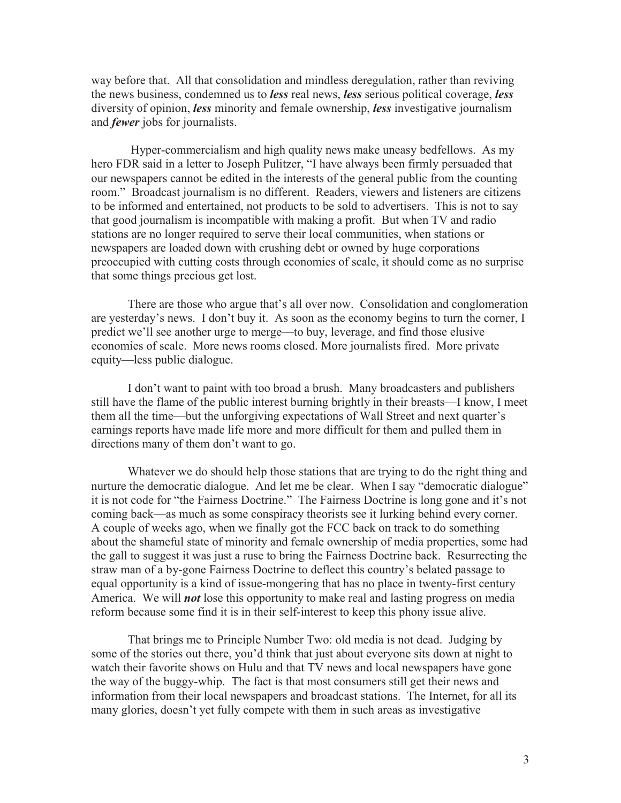way before that. All that consolidation and mindless deregulation, rather than reviving the news business, condemned us to *less* real news, *less* serious political coverage, *less* diversity of opinion, *less* minority and female ownership, *less* investigative journalism and *fewer* jobs for journalists.

Hyper-commercialism and high quality news make uneasy bedfellows. As my hero FDR said in a letter to Joseph Pulitzer, "I have always been firmly persuaded that our newspapers cannot be edited in the interests of the general public from the counting room." Broadcast journalism is no different. Readers, viewers and listeners are citizens to be informed and entertained, not products to be sold to advertisers. This is not to say that good journalism is incompatible with making a profit. But when TV and radio stations are no longer required to serve their local communities, when stations or newspapers are loaded down with crushing debt or owned by huge corporations preoccupied with cutting costs through economies of scale, it should come as no surprise that some things precious get lost.

There are those who argue that's all over now. Consolidation and conglomeration are yesterday's news. I don't buy it. As soon as the economy begins to turn the corner, I predict we'll see another urge to merge—to buy, leverage, and find those elusive economies of scale. More news rooms closed. More journalists fired. More private equity—less public dialogue.

I don't want to paint with too broad a brush. Many broadcasters and publishers still have the flame of the public interest burning brightly in their breasts—I know, I meet them all the time—but the unforgiving expectations of Wall Street and next quarter's earnings reports have made life more and more difficult for them and pulled them in directions many of them don't want to go.

Whatever we do should help those stations that are trying to do the right thing and nurture the democratic dialogue. And let me be clear. When I say "democratic dialogue" it is not code for "the Fairness Doctrine." The Fairness Doctrine is long gone and it's not coming back—as much as some conspiracy theorists see it lurking behind every corner. A couple of weeks ago, when we finally got the FCC back on track to do something about the shameful state of minority and female ownership of media properties, some had the gall to suggest it was just a ruse to bring the Fairness Doctrine back. Resurrecting the straw man of a by-gone Fairness Doctrine to deflect this country's belated passage to equal opportunity is a kind of issue-mongering that has no place in twenty-first century America. We will *not* lose this opportunity to make real and lasting progress on media reform because some find it is in their self-interest to keep this phony issue alive.

That brings me to Principle Number Two: old media is not dead. Judging by some of the stories out there, you'd think that just about everyone sits down at night to watch their favorite shows on Hulu and that TV news and local newspapers have gone the way of the buggy-whip. The fact is that most consumers still get their news and information from their local newspapers and broadcast stations. The Internet, for all its many glories, doesn't yet fully compete with them in such areas as investigative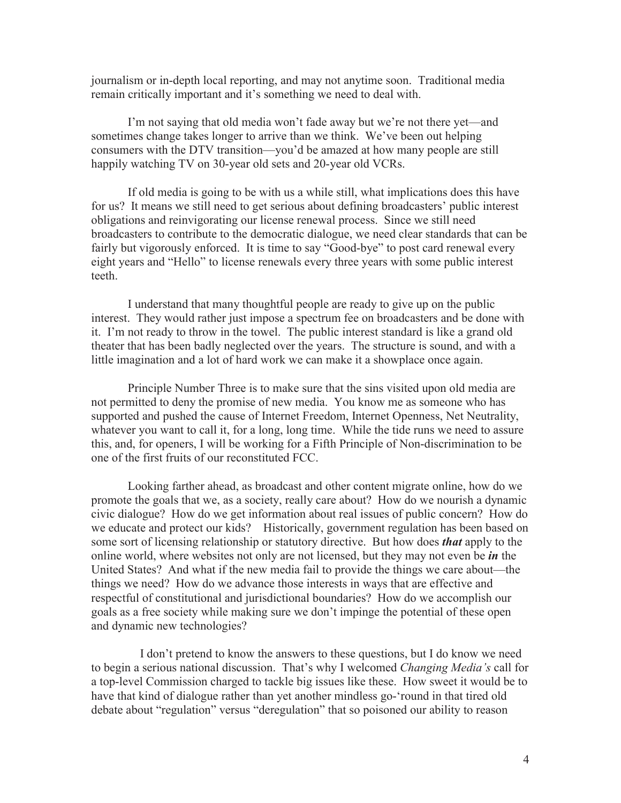journalism or in-depth local reporting, and may not anytime soon. Traditional media remain critically important and it's something we need to deal with.

I'm not saying that old media won't fade away but we're not there yet—and sometimes change takes longer to arrive than we think. We've been out helping consumers with the DTV transition—you'd be amazed at how many people are still happily watching TV on 30-year old sets and 20-year old VCRs.

If old media is going to be with us a while still, what implications does this have for us? It means we still need to get serious about defining broadcasters' public interest obligations and reinvigorating our license renewal process. Since we still need broadcasters to contribute to the democratic dialogue, we need clear standards that can be fairly but vigorously enforced. It is time to say "Good-bye" to post card renewal every eight years and "Hello" to license renewals every three years with some public interest teeth.

I understand that many thoughtful people are ready to give up on the public interest. They would rather just impose a spectrum fee on broadcasters and be done with it. I'm not ready to throw in the towel. The public interest standard is like a grand old theater that has been badly neglected over the years. The structure is sound, and with a little imagination and a lot of hard work we can make it a showplace once again.

Principle Number Three is to make sure that the sins visited upon old media are not permitted to deny the promise of new media. You know me as someone who has supported and pushed the cause of Internet Freedom, Internet Openness, Net Neutrality, whatever you want to call it, for a long, long time. While the tide runs we need to assure this, and, for openers, I will be working for a Fifth Principle of Non-discrimination to be one of the first fruits of our reconstituted FCC.

Looking farther ahead, as broadcast and other content migrate online, how do we promote the goals that we, as a society, really care about? How do we nourish a dynamic civic dialogue? How do we get information about real issues of public concern? How do we educate and protect our kids? Historically, government regulation has been based on some sort of licensing relationship or statutory directive. But how does *that* apply to the online world, where websites not only are not licensed, but they may not even be *in* the United States? And what if the new media fail to provide the things we care about—the things we need? How do we advance those interests in ways that are effective and respectful of constitutional and jurisdictional boundaries? How do we accomplish our goals as a free society while making sure we don't impinge the potential of these open and dynamic new technologies?

I don't pretend to know the answers to these questions, but I do know we need to begin a serious national discussion. That's why I welcomed *Changing Media's* call for a top-level Commission charged to tackle big issues like these. How sweet it would be to have that kind of dialogue rather than yet another mindless go-'round in that tired old debate about "regulation" versus "deregulation" that so poisoned our ability to reason